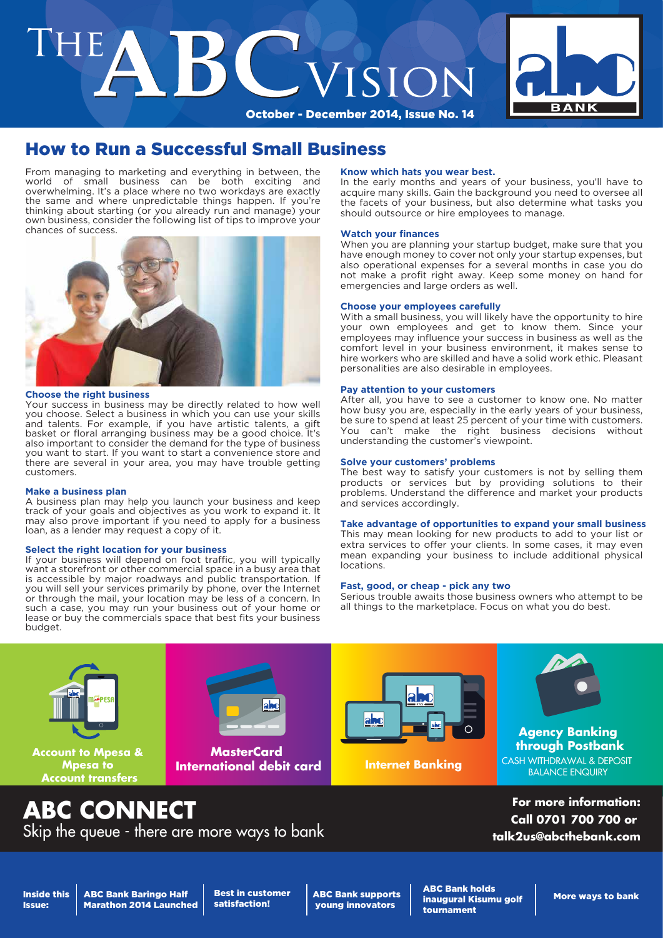# THE **BC** VISION



# How to Run a Successful Small Business

From managing to marketing and everything in between, the world of small business can be both exciting and small business can be both exciting and overwhelming. It's a place where no two workdays are exactly the same and where unpredictable things happen. If you're thinking about starting (or you already run and manage) your own business, consider the following list of tips to improve your chances of success.



### **Choose the right business**

Your success in business may be directly related to how well you choose. Select a business in which you can use your skills and talents. For example, if you have artistic talents, a gift basket or floral arranging business may be a good choice. It's also important to consider the demand for the type of business you want to start. If you want to start a convenience store and there are several in your area, you may have trouble getting customers.

### **Make a business plan**

A business plan may help you launch your business and keep track of your goals and objectives as you work to expand it. It may also prove important if you need to apply for a business loan, as a lender may request a copy of it.

### **Select the right location for your business**

If your business will depend on foot traffic, you will typically want a storefront or other commercial space in a busy area that is accessible by major roadways and public transportation. If you will sell your services primarily by phone, over the Internet or through the mail, your location may be less of a concern. In such a case, you may run your business out of your home or lease or buy the commercials space that best fits your business budget.

### **Know which hats you wear best.**

In the early months and years of your business, you'll have to acquire many skills. Gain the background you need to oversee all the facets of your business, but also determine what tasks you should outsource or hire employees to manage.

### **Watch your finances**

When you are planning your startup budget, make sure that you have enough money to cover not only your startup expenses, but also operational expenses for a several months in case you do not make a profit right away. Keep some money on hand for emergencies and large orders as well.

### **Choose your employees carefully**

With a small business, you will likely have the opportunity to hire your own employees and get to know them. Since your employees may influence your success in business as well as the comfort level in your business environment, it makes sense to hire workers who are skilled and have a solid work ethic. Pleasant personalities are also desirable in employees.

### **Pay attention to your customers**

After all, you have to see a customer to know one. No matter how busy you are, especially in the early years of your business, be sure to spend at least 25 percent of your time with customers. You can't make the right business decisions without understanding the customer's viewpoint.

### **Solve your customers' problems**

The best way to satisfy your customers is not by selling them products or services but by providing solutions to their problems. Understand the difference and market your products and services accordingly.

### **Take advantage of opportunities to expand your small business**

This may mean looking for new products to add to your list or extra services to offer your clients. In some cases, it may even mean expanding your business to include additional physical locations.

### **Fast, good, or cheap - pick any two**

Serious trouble awaits those business owners who attempt to be all things to the marketplace. Focus on what you do best.



# **ABC CONNECT**

Skip the queue - there are more ways to bank

**For more information: Call 0701 700 700 or talk2us@abcthebank.com**

Inside this Issue:

ABC Bank Baringo Half Marathon 2014 Launched Best in customer satisfaction!

ABC Bank supports young innovators

ABC Bank holds inaugural Kisumu golf tournament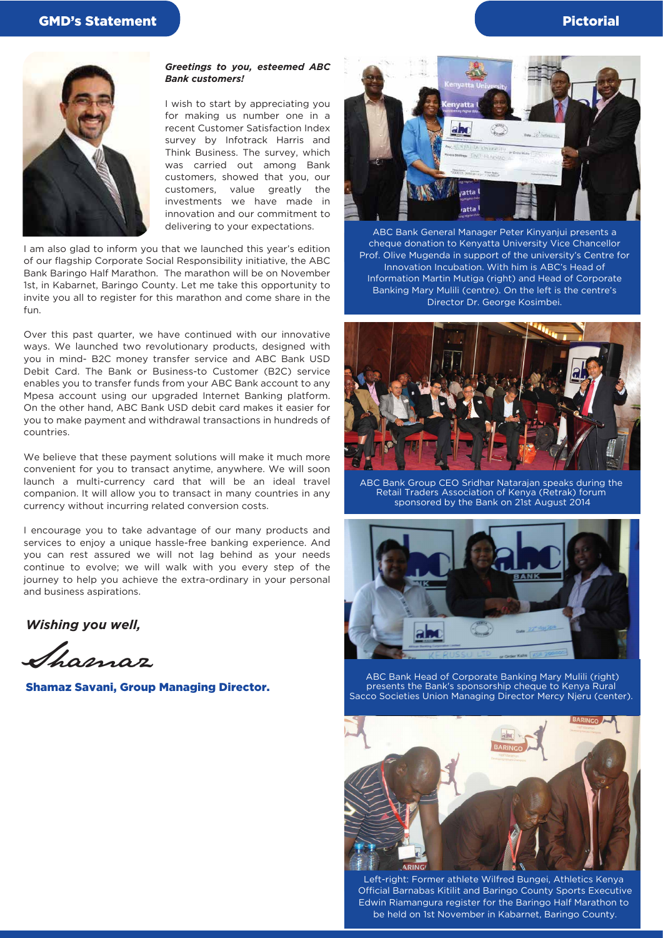

### *Greetings to you, esteemed ABC Bank customers!*

I wish to start by appreciating you for making us number one in a recent Customer Satisfaction Index survey by Infotrack Harris and Think Business. The survey, which was carried out among Bank customers, showed that you, our customers, value greatly the investments we have made in innovation and our commitment to delivering to your expectations.

I am also glad to inform you that we launched this year's edition of our flagship Corporate Social Responsibility initiative, the ABC Bank Baringo Half Marathon. The marathon will be on November 1st, in Kabarnet, Baringo County. Let me take this opportunity to invite you all to register for this marathon and come share in the fun.

Over this past quarter, we have continued with our innovative ways. We launched two revolutionary products, designed with you in mind- B2C money transfer service and ABC Bank USD Debit Card. The Bank or Business-to Customer (B2C) service enables you to transfer funds from your ABC Bank account to any Mpesa account using our upgraded Internet Banking platform. On the other hand, ABC Bank USD debit card makes it easier for you to make payment and withdrawal transactions in hundreds of countries.

We believe that these payment solutions will make it much more convenient for you to transact anytime, anywhere. We will soon launch a multi-currency card that will be an ideal travel companion. It will allow you to transact in many countries in any currency without incurring related conversion costs.

I encourage you to take advantage of our many products and services to enjoy a unique hassle-free banking experience. And you can rest assured we will not lag behind as your needs continue to evolve; we will walk with you every step of the journey to help you achieve the extra-ordinary in your personal and business aspirations.

*Wishing you well,*

Shamaz

Shamaz Savani, Group Managing Director.



ABC Bank General Manager Peter Kinyanjui presents a cheque donation to Kenyatta University Vice Chancellor Prof. Olive Mugenda in support of the university's Centre for Innovation Incubation. With him is ABC's Head of Information Martin Mutiga (right) and Head of Corporate Banking Mary Mulili (centre). On the left is the centre's Director Dr. George Kosimbei.



ABC Bank Group CEO Sridhar Natarajan speaks during the Retail Traders Association of Kenya (Retrak) forum sponsored by the Bank on 21st August 2014



ABC Bank Head of Corporate Banking Mary Mulili (right) presents the Bank's sponsorship cheque to Kenya Rural Sacco Societies Union Managing Director Mercy Njeru (center).



Left-right: Former athlete Wilfred Bungei, Athletics Kenya Official Barnabas Kitilit and Baringo County Sports Executive Edwin Riamangura register for the Baringo Half Marathon to be held on 1st November in Kabarnet, Baringo County.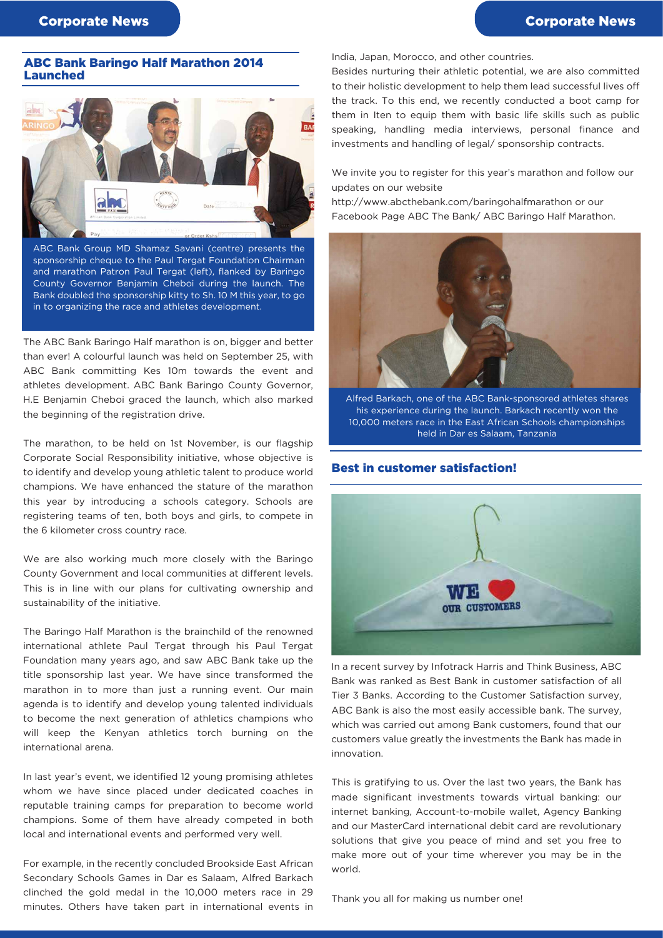### ABC Bank Baringo Half Marathon 2014 Launched



ABC Bank Group MD Shamaz Savani (centre) presents the sponsorship cheque to the Paul Tergat Foundation Chairman and marathon Patron Paul Tergat (left), flanked by Baringo County Governor Benjamin Cheboi during the launch. The Bank doubled the sponsorship kitty to Sh. 10 M this year, to go in to organizing the race and athletes development.

The ABC Bank Baringo Half marathon is on, bigger and better than ever! A colourful launch was held on September 25, with ABC Bank committing Kes 10m towards the event and athletes development. ABC Bank Baringo County Governor, H.E Benjamin Cheboi graced the launch, which also marked the beginning of the registration drive.

The marathon, to be held on 1st November, is our flagship Corporate Social Responsibility initiative, whose objective is to identify and develop young athletic talent to produce world champions. We have enhanced the stature of the marathon this year by introducing a schools category. Schools are registering teams of ten, both boys and girls, to compete in the 6 kilometer cross country race.

We are also working much more closely with the Baringo County Government and local communities at different levels. This is in line with our plans for cultivating ownership and sustainability of the initiative.

The Baringo Half Marathon is the brainchild of the renowned international athlete Paul Tergat through his Paul Tergat Foundation many years ago, and saw ABC Bank take up the title sponsorship last year. We have since transformed the marathon in to more than just a running event. Our main agenda is to identify and develop young talented individuals to become the next generation of athletics champions who will keep the Kenyan athletics torch burning on the international arena.

In last year's event, we identified 12 young promising athletes whom we have since placed under dedicated coaches in reputable training camps for preparation to become world champions. Some of them have already competed in both local and international events and performed very well.

For example, in the recently concluded Brookside East African Secondary Schools Games in Dar es Salaam, Alfred Barkach clinched the gold medal in the 10,000 meters race in 29 minutes. Others have taken part in international events in India, Japan, Morocco, and other countries.

Besides nurturing their athletic potential, we are also committed to their holistic development to help them lead successful lives off the track. To this end, we recently conducted a boot camp for them in Iten to equip them with basic life skills such as public speaking, handling media interviews, personal finance and investments and handling of legal/ sponsorship contracts.

We invite you to register for this year's marathon and follow our updates on our website

http://www.abcthebank.com/baringohalfmarathon or our Facebook Page ABC The Bank/ ABC Baringo Half Marathon.



Alfred Barkach, one of the ABC Bank-sponsored athletes shares his experience during the launch. Barkach recently won the 10,000 meters race in the East African Schools championships held in Dar es Salaam, Tanzania

### Best in customer satisfaction!



In a recent survey by Infotrack Harris and Think Business, ABC Bank was ranked as Best Bank in customer satisfaction of all Tier 3 Banks. According to the Customer Satisfaction survey, ABC Bank is also the most easily accessible bank. The survey, which was carried out among Bank customers, found that our customers value greatly the investments the Bank has made in innovation.

This is gratifying to us. Over the last two years, the Bank has made significant investments towards virtual banking: our internet banking, Account-to-mobile wallet, Agency Banking and our MasterCard international debit card are revolutionary solutions that give you peace of mind and set you free to make more out of your time wherever you may be in the world.

Thank you all for making us number one!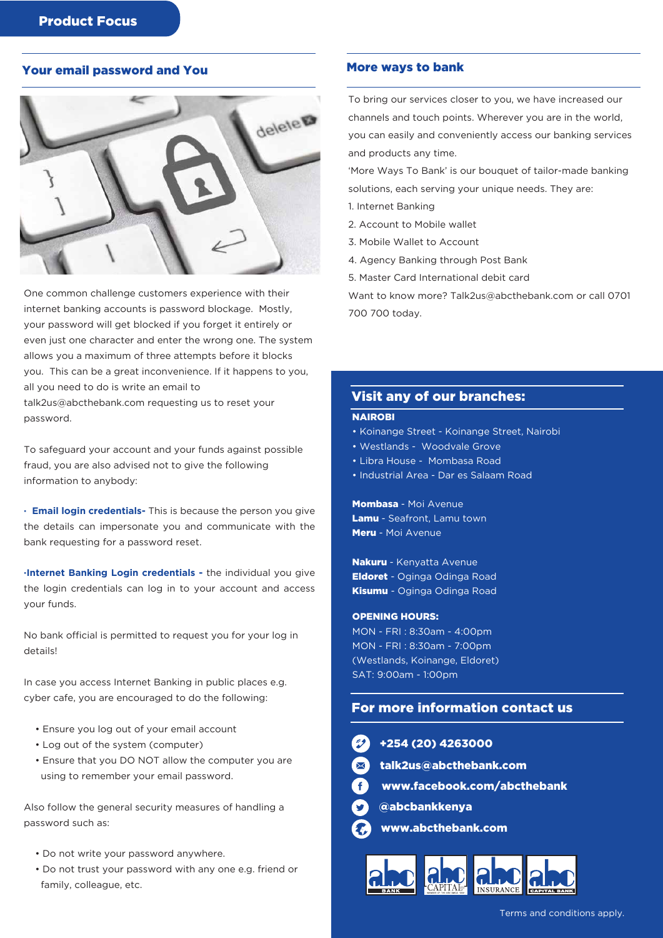# Your email password and You



One common challenge customers experience with their internet banking accounts is password blockage. Mostly, your password will get blocked if you forget it entirely or even just one character and enter the wrong one. The system allows you a maximum of three attempts before it blocks you. This can be a great inconvenience. If it happens to you, all you need to do is write an email to

talk2us@abcthebank.com requesting us to reset your password.

To safeguard your account and your funds against possible fraud, you are also advised not to give the following information to anybody:

**· Email login credentials-** This is because the person you give the details can impersonate you and communicate with the bank requesting for a password reset.

**·Internet Banking Login credentials -** the individual you give the login credentials can log in to your account and access your funds.

No bank official is permitted to request you for your log in details!

In case you access Internet Banking in public places e.g. cyber cafe, you are encouraged to do the following:

- Ensure you log out of your email account
- Log out of the system (computer)
- Ensure that you DO NOT allow the computer you are using to remember your email password.

Also follow the general security measures of handling a password such as:

- Do not write your password anywhere.
- Do not trust your password with any one e.g. friend or family, colleague, etc.

### More ways to bank

To bring our services closer to you, we have increased our channels and touch points. Wherever you are in the world, you can easily and conveniently access our banking services and products any time.

'More Ways To Bank' is our bouquet of tailor-made banking solutions, each serving your unique needs. They are:

- 1. Internet Banking
- 2. Account to Mobile wallet
- 3. Mobile Wallet to Account
- 4. Agency Banking through Post Bank
- 5. Master Card International debit card

Want to know more? Talk2us@abcthebank.com or call 0701 700 700 today.

### Visit any of our branches:

### **NAIROBI**

- Koinange Street Koinange Street, Nairobi
- Westlands Woodvale Grove
- Libra House Mombasa Road
- Industrial Area Dar es Salaam Road

Mombasa - Moi Avenue Lamu - Seafront, Lamu town Meru - Moi Avenue

Nakuru - Kenyatta Avenue Eldoret - Oginga Odinga Road Kisumu - Oginga Odinga Road

### OPENING HOURS:

MON - FRI : 8:30am - 4:00pm MON - FRI : 8:30am - 7:00pm (Westlands, Koinange, Eldoret) SAT: 9:00am - 1:00pm

# For more information contact us

53000

hebank.com

k.com/abcthebank

| $+254(20)426$      |
|--------------------|
| desialk2us@abct    |
| www.faceboo        |
| <b>Oabcbankken</b> |
| www.abctheb        |
|                    |



va

ank.com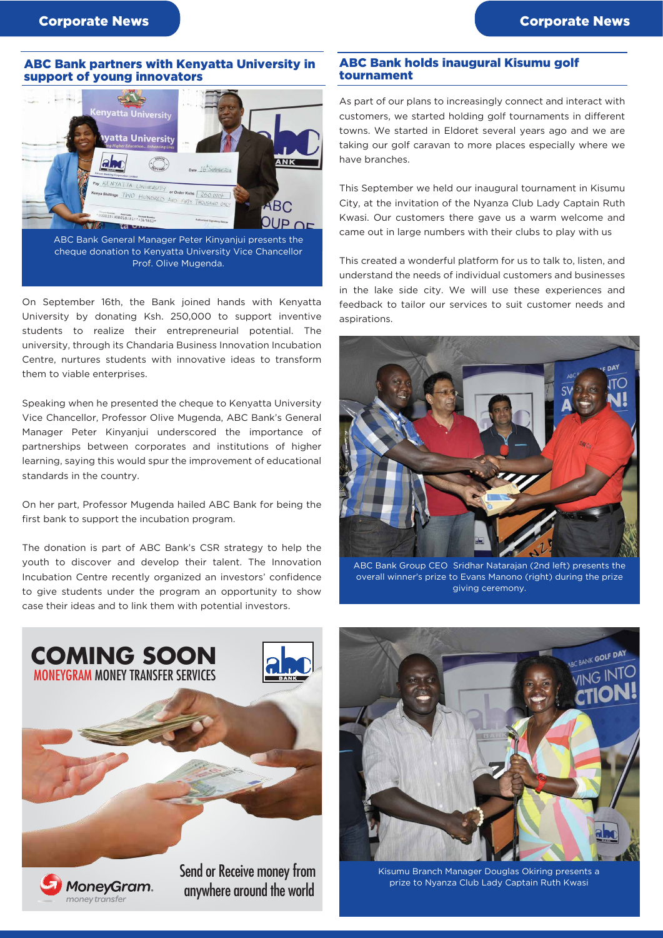### ABC Bank partners with Kenyatta University in support of young innovators



cheque donation to Kenyatta University Vice Chancellor Prof. Olive Mugenda.

On September 16th, the Bank joined hands with Kenyatta University by donating Ksh. 250,000 to support inventive students to realize their entrepreneurial potential. The university, through its Chandaria Business Innovation Incubation Centre, nurtures students with innovative ideas to transform them to viable enterprises.

Speaking when he presented the cheque to Kenyatta University Vice Chancellor, Professor Olive Mugenda, ABC Bank's General Manager Peter Kinyanjui underscored the importance of partnerships between corporates and institutions of higher learning, saying this would spur the improvement of educational standards in the country.

On her part, Professor Mugenda hailed ABC Bank for being the first bank to support the incubation program.

The donation is part of ABC Bank's CSR strategy to help the youth to discover and develop their talent. The Innovation Incubation Centre recently organized an investors' confidence to give students under the program an opportunity to show case their ideas and to link them with potential investors.

### ABC Bank holds inaugural Kisumu golf tournament

As part of our plans to increasingly connect and interact with customers, we started holding golf tournaments in different towns. We started in Eldoret several years ago and we are taking our golf caravan to more places especially where we have branches.

This September we held our inaugural tournament in Kisumu City, at the invitation of the Nyanza Club Lady Captain Ruth Kwasi. Our customers there gave us a warm welcome and came out in large numbers with their clubs to play with us

This created a wonderful platform for us to talk to, listen, and understand the needs of individual customers and businesses in the lake side city. We will use these experiences and feedback to tailor our services to suit customer needs and aspirations.



ABC Bank Group CEO Sridhar Natarajan (2nd left) presents the overall winner's prize to Evans Manono (right) during the prize giving ceremony.





Kisumu Branch Manager Douglas Okiring presents a prize to Nyanza Club Lady Captain Ruth Kwasi